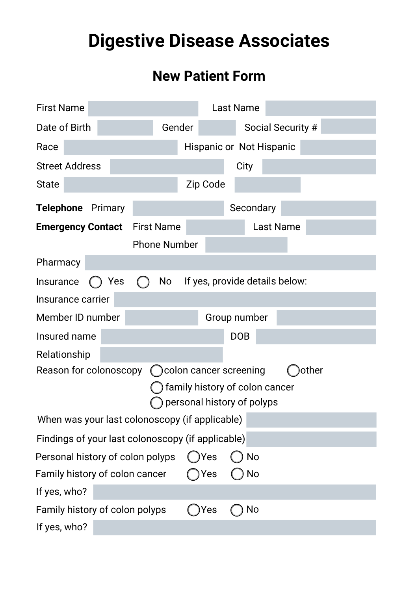# **Digestive Disease Associates**

# **New Patient Form**

| <b>First Name</b>                                 |     |                     |        |          | <b>Last Name</b>                                                                          |                                 |       |
|---------------------------------------------------|-----|---------------------|--------|----------|-------------------------------------------------------------------------------------------|---------------------------------|-------|
| Date of Birth                                     |     |                     | Gender |          |                                                                                           | Social Security #               |       |
| Race                                              |     |                     |        |          |                                                                                           | <b>Hispanic or Not Hispanic</b> |       |
| <b>Street Address</b>                             |     |                     |        |          | City                                                                                      |                                 |       |
| <b>State</b>                                      |     |                     |        | Zip Code |                                                                                           |                                 |       |
| <b>Telephone</b> Primary                          |     |                     |        |          | Secondary                                                                                 |                                 |       |
| <b>Emergency Contact</b> First Name               |     | <b>Phone Number</b> |        |          |                                                                                           | <b>Last Name</b>                |       |
| Pharmacy                                          |     |                     |        |          |                                                                                           |                                 |       |
| Insurance                                         | Yes | No                  |        |          |                                                                                           | If yes, provide details below:  |       |
| Insurance carrier                                 |     |                     |        |          |                                                                                           |                                 |       |
| Member ID number                                  |     |                     |        |          | Group number                                                                              |                                 |       |
| Insured name                                      |     |                     |        |          | <b>DOB</b>                                                                                |                                 |       |
| Relationship                                      |     |                     |        |          |                                                                                           |                                 |       |
| Reason for colonoscopy                            |     |                     |        |          | () colon cancer screening<br>family history of colon cancer<br>personal history of polyps |                                 | other |
| When was your last colonoscopy (if applicable)    |     |                     |        |          |                                                                                           |                                 |       |
| Findings of your last colonoscopy (if applicable) |     |                     |        |          |                                                                                           |                                 |       |
| Personal history of colon polyps                  |     |                     |        | )Yes     | <b>No</b>                                                                                 |                                 |       |
| Family history of colon cancer                    |     |                     |        | Yes      | No                                                                                        |                                 |       |
| If yes, who?                                      |     |                     |        |          |                                                                                           |                                 |       |
| Family history of colon polyps                    |     |                     |        | Yes      | No                                                                                        |                                 |       |
| If yes, who?                                      |     |                     |        |          |                                                                                           |                                 |       |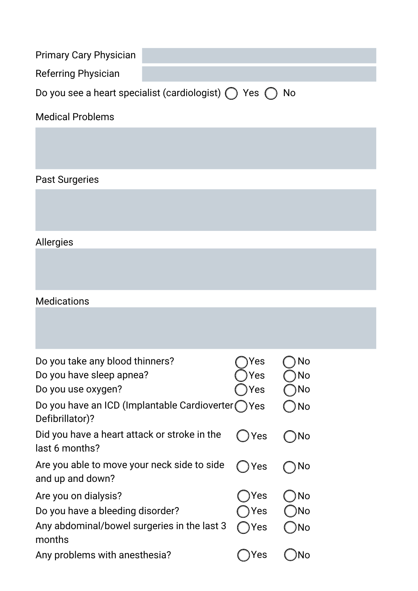| <b>Primary Cary Physician</b> |                                                                         |
|-------------------------------|-------------------------------------------------------------------------|
| <b>Referring Physician</b>    |                                                                         |
|                               | Do you see a heart specialist (cardiologist) $\bigcap$ Yes $\bigcap$ No |

#### Medical Problems

## Past Surgeries

## Allergies

#### Medications

| Do you take any blood thinners?<br>Do you have sleep apnea?<br>Do you use oxygen?                                 | Yes<br>Yes<br>Yes | No<br>No<br>No        |
|-------------------------------------------------------------------------------------------------------------------|-------------------|-----------------------|
| Do you have an ICD (Implantable Cardioverter (<br>Defibrillator)?                                                 | Yes               | No                    |
| Did you have a heart attack or stroke in the<br>last 6 months?                                                    | Yes               | No                    |
| Are you able to move your neck side to side<br>and up and down?                                                   | Yes               | No                    |
| Are you on dialysis?<br>Do you have a bleeding disorder?<br>Any abdominal/bowel surgeries in the last 3<br>months | Yes<br>Yes<br>Yes | <b>No</b><br>No<br>No |
| Any problems with anesthesia?                                                                                     | 'es               |                       |